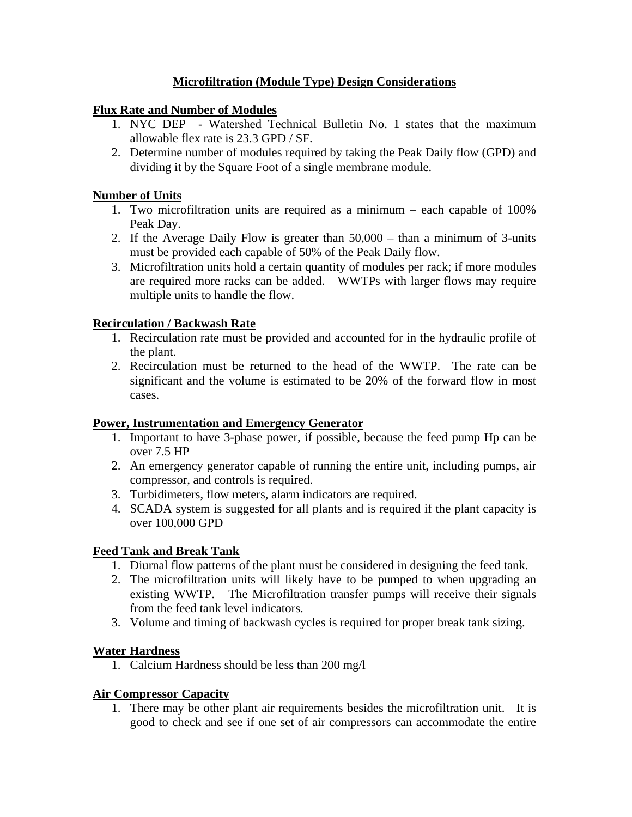# **Microfiltration (Module Type) Design Considerations**

## **Flux Rate and Number of Modules**

- 1. NYC DEP Watershed Technical Bulletin No. 1 states that the maximum allowable flex rate is 23.3 GPD / SF.
- 2. Determine number of modules required by taking the Peak Daily flow (GPD) and dividing it by the Square Foot of a single membrane module.

#### **Number of Units**

- 1. Two microfiltration units are required as a minimum each capable of 100% Peak Day.
- 2. If the Average Daily Flow is greater than 50,000 than a minimum of 3-units must be provided each capable of 50% of the Peak Daily flow.
- 3. Microfiltration units hold a certain quantity of modules per rack; if more modules are required more racks can be added. WWTPs with larger flows may require multiple units to handle the flow.

### **Recirculation / Backwash Rate**

- 1. Recirculation rate must be provided and accounted for in the hydraulic profile of the plant.
- 2. Recirculation must be returned to the head of the WWTP. The rate can be significant and the volume is estimated to be 20% of the forward flow in most cases.

#### **Power, Instrumentation and Emergency Generator**

- 1. Important to have 3-phase power, if possible, because the feed pump Hp can be over 7.5 HP
- 2. An emergency generator capable of running the entire unit, including pumps, air compressor, and controls is required.
- 3. Turbidimeters, flow meters, alarm indicators are required.
- 4. SCADA system is suggested for all plants and is required if the plant capacity is over 100,000 GPD

#### **Feed Tank and Break Tank**

- 1. Diurnal flow patterns of the plant must be considered in designing the feed tank.
- 2. The microfiltration units will likely have to be pumped to when upgrading an existing WWTP. The Microfiltration transfer pumps will receive their signals from the feed tank level indicators.
- 3. Volume and timing of backwash cycles is required for proper break tank sizing.

#### **Water Hardness**

1. Calcium Hardness should be less than 200 mg/l

#### **Air Compressor Capacity**

1. There may be other plant air requirements besides the microfiltration unit. It is good to check and see if one set of air compressors can accommodate the entire